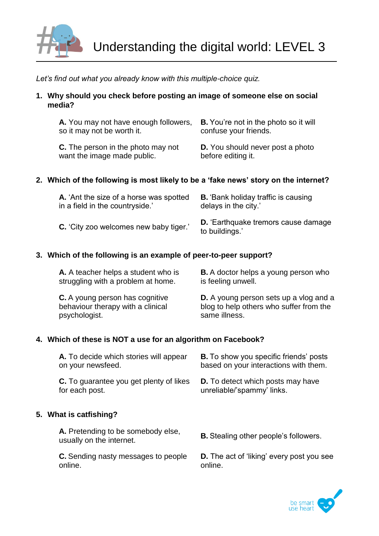

*Let's find out what you already know with this multiple-choice quiz.*

**1. Why should you check before posting an image of someone else on social media?**

| A. You may not have enough followers,     | <b>B.</b> You're not in the photo so it will |
|-------------------------------------------|----------------------------------------------|
| so it may not be worth it.                | confuse your friends.                        |
| <b>C.</b> The person in the photo may not | <b>D.</b> You should never post a photo      |
| want the image made public.               | before editing it.                           |

# **2. Which of the following is most likely to be a 'fake news' story on the internet?**

| A. 'Ant the size of a horse was spotted       | <b>B.</b> Bank holiday traffic is causing                    |
|-----------------------------------------------|--------------------------------------------------------------|
| in a field in the countryside.'               | delays in the city.'                                         |
| <b>C.</b> 'City zoo welcomes new baby tiger.' | <b>D.</b> 'Earthquake tremors cause damage<br>to buildings.' |

### **3. Which of the following is an example of peer-to-peer support?**

| A. A teacher helps a student who is    | <b>B.</b> A doctor helps a young person who   |
|----------------------------------------|-----------------------------------------------|
| struggling with a problem at home.     | is feeling unwell.                            |
| <b>C.</b> A young person has cognitive | <b>D.</b> A young person sets up a vlog and a |
| behaviour therapy with a clinical      | blog to help others who suffer from the       |
| psychologist.                          | same illness.                                 |

### **4. Which of these is NOT a use for an algorithm on Facebook?**

| A. To decide which stories will appear<br>on your newsfeed.      | <b>B.</b> To show you specific friends' posts<br>based on your interactions with them. |
|------------------------------------------------------------------|----------------------------------------------------------------------------------------|
| <b>C.</b> To guarantee you get plenty of likes<br>for each post. | <b>D.</b> To detect which posts may have<br>unreliable/'spammy' links.                 |
| 5. What is catfishing?                                           |                                                                                        |
| A. Pretending to be somebody else,<br>usually on the internet.   | <b>B.</b> Stealing other people's followers.                                           |

**C.** Sending nasty messages to people online.

**D.** The act of 'liking' every post you see online.